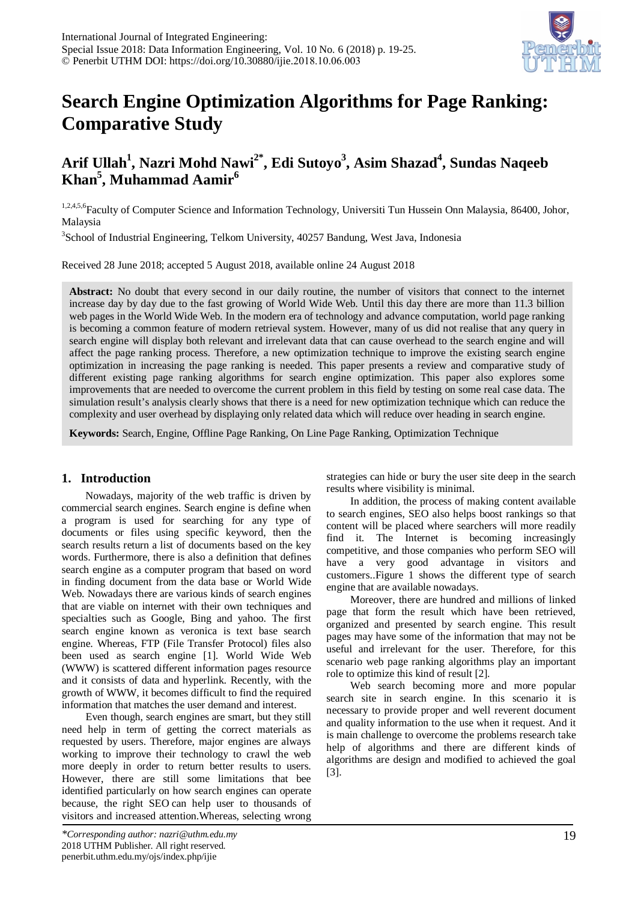

# **Search Engine Optimization Algorithms for Page Ranking: Comparative Study**

# Arif Ullah<sup>1</sup>, Nazri Mohd Nawi<sup>2\*</sup>, Edi Sutoyo<sup>3</sup>, Asim Shazad<sup>4</sup>, Sundas Naqeeb **Khan5 , Muhammad Aamir<sup>6</sup>**

1,2,4,5,6Faculty of Computer Science and Information Technology, Universiti Tun Hussein Onn Malaysia, 86400, Johor, Malaysia

<sup>3</sup>School of Industrial Engineering, Telkom University, 40257 Bandung, West Java, Indonesia

Received 28 June 2018; accepted 5 August 2018, available online 24 August 2018

**Abstract:** No doubt that every second in our daily routine, the number of visitors that connect to the internet increase day by day due to the fast growing of World Wide Web. Until this day there are more than 11.3 billion web pages in the World Wide Web. In the modern era of technology and advance computation, world page ranking is becoming a common feature of modern retrieval system. However, many of us did not realise that any query in search engine will display both relevant and irrelevant data that can cause overhead to the search engine and will affect the page ranking process. Therefore, a new optimization technique to improve the existing search engine optimization in increasing the page ranking is needed. This paper presents a review and comparative study of different existing page ranking algorithms for search engine optimization. This paper also explores some improvements that are needed to overcome the current problem in this field by testing on some real case data. The simulation result's analysis clearly shows that there is a need for new optimization technique which can reduce the complexity and user overhead by displaying only related data which will reduce over heading in search engine.

**Keywords:** Search, Engine, Offline Page Ranking, On Line Page Ranking, Optimization Technique

### **1. Introduction**

Nowadays, majority of the web traffic is driven by commercial search engines. Search engine is define when a program is used for searching for any type of documents or files using specific keyword, then the search results return a list of documents based on the key words. Furthermore, there is also a definition that defines search engine as a computer program that based on word in finding document from the data base or World Wide Web. Nowadays there are various kinds of search engines that are viable on internet with their own techniques and specialties such as Google, Bing and yahoo. The first search engine known as veronica is text base search engine. Whereas, FTP (File Transfer Protocol) files also been used as search engine [1]. World Wide Web (WWW) is scattered different information pages resource and it consists of data and hyperlink. Recently, with the growth of WWW, it becomes difficult to find the required information that matches the user demand and interest.

Even though, search engines are smart, but they still need help in term of getting the correct materials as requested by users. Therefore, major engines are always working to improve their technology to crawl the web more deeply in order to return better results to users. However, there are still some limitations that bee identified particularly on how search engines can operate because, [the right SEO](https://moz.com/products/pro) can help user to thousands of visitors and increased attention.Whereas, selecting wrong strategies can hide or bury the user site deep in the search results where visibility is minimal.

In addition, the process of making content available to search engines, SEO also helps boost rankings so that content will be placed where searchers will more readily find it. The Internet is becoming increasingly competitive, and those companies who perform SEO will have a very good advantage in visitors and customers..Figure 1 shows the different type of search engine that are available nowadays.

Moreover, there are hundred and millions of linked page that form the result which have been retrieved, organized and presented by search engine. This result pages may have some of the information that may not be useful and irrelevant for the user. Therefore, for this scenario web page ranking algorithms play an important role to optimize this kind of result [2].

Web search becoming more and more popular search site in search engine. In this scenario it is necessary to provide proper and well reverent document and quality information to the use when it request. And it is main challenge to overcome the problems research take help of algorithms and there are different kinds of algorithms are design and modified to achieved the goal [3].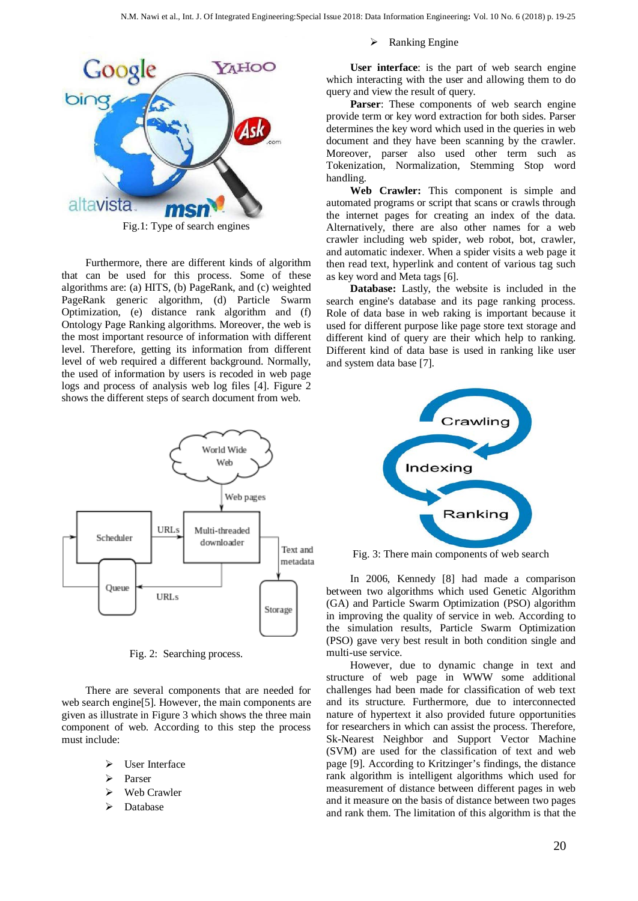

Fig.1: Type of search engines

Furthermore, there are different kinds of algorithm that can be used for this process. Some of these algorithms are: (a) HITS, (b) PageRank, and (c) weighted PageRank generic algorithm, (d) Particle Swarm Optimization, (e) distance rank algorithm and (f) Ontology Page Ranking algorithms. Moreover, the web is the most important resource of information with different level. Therefore, getting its information from different level of web required a different background. Normally, the used of information by users is recoded in web page logs and process of analysis web log files [4]. Figure 2 shows the different steps of search document from web.



Fig. 2: Searching process.

There are several components that are needed for web search engine[5]. However, the main components are given as illustrate in Figure 3 which shows the three main component of web. According to this step the process must include:

- $\triangleright$  User Interface
- Parser
- Web Crawler
- Database

 $\triangleright$  Ranking Engine

**User interface**: is the part of web search engine which interacting with the user and allowing them to do query and view the result of query.

**Parser**: These components of web search engine provide term or key word extraction for both sides. Parser determines the key word which used in the queries in web document and they have been scanning by the crawler. Moreover, parser also used other term such as Tokenization, Normalization, Stemming Stop word handling.

**Web Crawler:** This component is simple and automated programs or script that scans or crawls through the internet pages for creating an index of the data. Alternatively, there are also other names for a web crawler including web spider, web robot, bot, crawler, and automatic indexer. When a spider visits a web page it then read text, hyperlink and content of various tag such as key word and Meta tags [6].

**Database:** Lastly, the website is included in the search engine's database and its page ranking process. Role of data base in web raking is important because it used for different purpose like page store text storage and different kind of query are their which help to ranking. Different kind of data base is used in ranking like user and system data base [7].



Fig. 3: There main components of web search

In 2006, Kennedy [8] had made a comparison between two algorithms which used Genetic Algorithm (GA) and Particle Swarm Optimization (PSO) algorithm in improving the quality of service in web. According to the simulation results, Particle Swarm Optimization (PSO) gave very best result in both condition single and multi-use service.

However, due to dynamic change in text and structure of web page in WWW some additional challenges had been made for classification of web text and its structure. Furthermore, due to interconnected nature of hypertext it also provided future opportunities for researchers in which can assist the process. Therefore, Sk-Nearest Neighbor and Support Vector Machine (SVM) are used for the classification of text and web page [9]. According to Kritzinger's findings, the distance rank algorithm is intelligent algorithms which used for measurement of distance between different pages in web and it measure on the basis of distance between two pages and rank them. The limitation of this algorithm is that the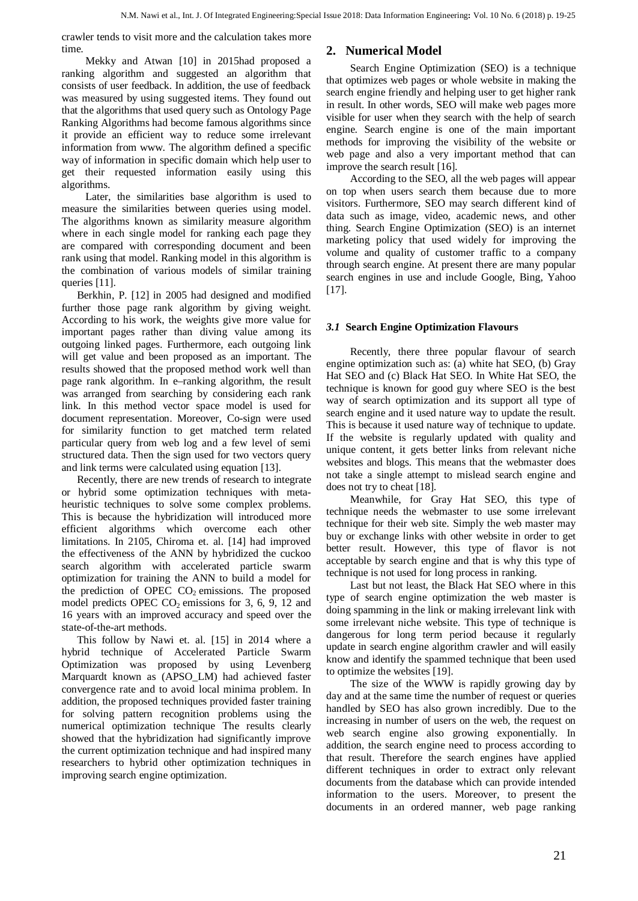crawler tends to visit more and the calculation takes more time.

Mekky and Atwan [10] in 2015had proposed a ranking algorithm and suggested an algorithm that consists of user feedback. In addition, the use of feedback was measured by using suggested items. They found out that the algorithms that used query such as Ontology Page Ranking Algorithms had become famous algorithms since it provide an efficient way to reduce some irrelevant information from www. The algorithm defined a specific way of information in specific domain which help user to get their requested information easily using this algorithms.

Later, the similarities base algorithm is used to measure the similarities between queries using model. The algorithms known as similarity measure algorithm where in each single model for ranking each page they are compared with corresponding document and been rank using that model. Ranking model in this algorithm is the combination of various models of similar training queries [11].

Berkhin, P. [12] in 2005 had designed and modified further those page rank algorithm by giving weight. According to his work, the weights give more value for important pages rather than diving value among its outgoing linked pages. Furthermore, each outgoing link will get value and been proposed as an important. The results showed that the proposed method work well than page rank algorithm. In e–ranking algorithm, the result was arranged from searching by considering each rank link. In this method vector space model is used for document representation. Moreover, Co-sign were used for similarity function to get matched term related particular query from web log and a few level of semi structured data. Then the sign used for two vectors query and link terms were calculated using equation [13].

Recently, there are new trends of research to integrate or hybrid some optimization techniques with metaheuristic techniques to solve some complex problems. This is because the hybridization will introduced more efficient algorithms which overcome each other limitations. In 2105, Chiroma et. al. [14] had improved the effectiveness of the ANN by hybridized the cuckoo search algorithm with accelerated particle swarm optimization for training the ANN to build a model for the prediction of OPEC  $CO<sub>2</sub>$  emissions. The proposed model predicts OPEC  $CO<sub>2</sub>$  emissions for 3, 6, 9, 12 and 16 years with an improved accuracy and speed over the state-of-the-art methods.

This follow by Nawi et. al. [15] in 2014 where a hybrid technique of Accelerated Particle Swarm Optimization was proposed by using Levenberg Marquardt known as (APSO\_LM) had achieved faster convergence rate and to avoid local minima problem. In addition, the proposed techniques provided faster training for solving pattern recognition problems using the numerical optimization technique The results clearly showed that the hybridization had significantly improve the current optimization technique and had inspired many researchers to hybrid other optimization techniques in improving search engine optimization.

# **2. Numerical Model**

Search Engine Optimization (SEO) is a technique that optimizes web pages or whole website in making the search engine friendly and helping user to get higher rank in result. In other words, SEO will make web pages more visible for user when they search with the help of search engine. Search engine is one of the main important methods for improving the visibility of the website or web page and also a very important method that can improve the search result [16].

According to the SEO, all the web pages will appear on top when users search them because due to more visitors. Furthermore, SEO may search different kind of data such as image, video, academic news, and other thing. Search Engine Optimization (SEO) is an internet marketing policy that used widely for improving the volume and quality of customer traffic to a company through search engine. At present there are many popular search engines in use and include Google, Bing, Yahoo [17].

### *3.1* **Search Engine Optimization Flavours**

Recently, there three popular flavour of search engine optimization such as: (a) white hat SEO, (b) Gray Hat SEO and (c) Black Hat SEO. In White Hat SEO, the technique is known for good guy where SEO is the best way of search optimization and its support all type of search engine and it used nature way to update the result. This is because it used nature way of technique to update. If the website is regularly updated with quality and unique content, it gets better links from relevant niche websites and blogs. This means that the webmaster does not take a single attempt to mislead search engine and does not try to cheat [18].

Meanwhile, for Gray Hat SEO, this type of technique needs the webmaster to use some irrelevant technique for their web site. Simply the web master may buy or exchange links with other website in order to get better result. However, this type of flavor is not acceptable by search engine and that is why this type of technique is not used for long process in ranking.

Last but not least, the Black Hat SEO where in this type of search engine optimization the web master is doing spamming in the link or making irrelevant link with some irrelevant niche website. This type of technique is dangerous for long term period because it regularly update in search engine algorithm crawler and will easily know and identify the spammed technique that been used to optimize the websites [19].

The size of the WWW is rapidly growing day by day and at the same time the number of request or queries handled by SEO has also grown incredibly. Due to the increasing in number of users on the web, the request on web search engine also growing exponentially. In addition, the search engine need to process according to that result. Therefore the search engines have applied different techniques in order to extract only relevant documents from the database which can provide intended information to the users. Moreover, to present the documents in an ordered manner, web page ranking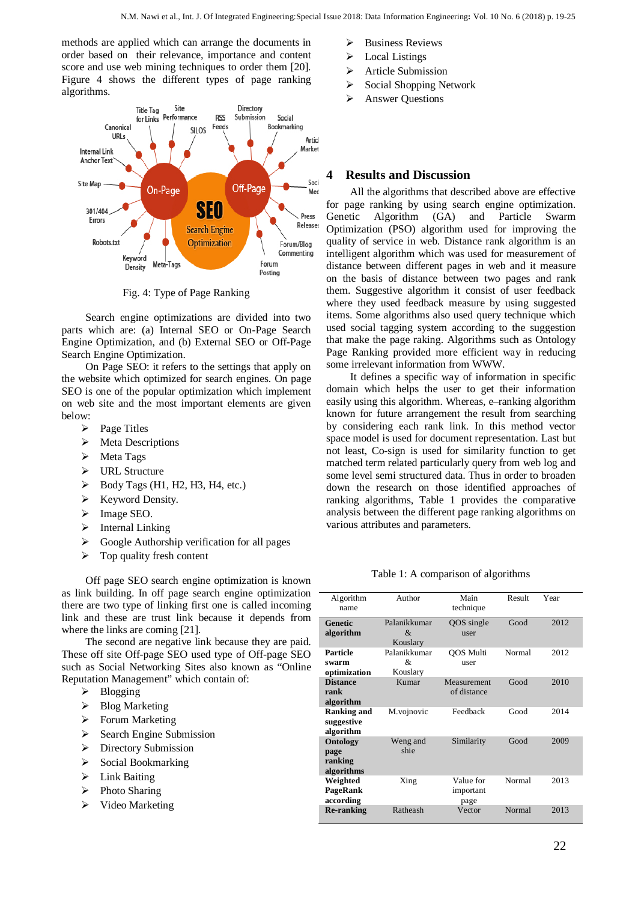methods are applied which can arrange the documents in order based on their relevance, importance and content score and use web mining techniques to order them [20]. Figure 4 shows the different types of page ranking algorithms.



Fig. 4: Type of Page Ranking

Search engine optimizations are divided into two parts which are: (a) Internal SEO or On-Page Search Engine Optimization, and (b) External SEO or Off-Page Search Engine Optimization.

On Page SEO: it refers to the settings that apply on the website which optimized for search engines. On page SEO is one of the popular optimization which implement on web site and the most important elements are given below:

- $\triangleright$  Page Titles
- > Meta Descriptions
- $\triangleright$  Meta Tags
- > URL Structure
- $\triangleright$  Body Tags (H1, H2, H3, H4, etc.)
- $\triangleright$  Keyword Density.
- $\triangleright$  Image SEO.
- $\triangleright$  Internal Linking
- $\triangleright$  Google Authorship verification for all pages
- $\triangleright$  Top quality fresh content

Off page SEO search engine optimization is known as link building. In off page search engine optimization there are two type of linking first one is called incoming link and these are trust link because it depends from where the links are coming [21].

The second are negative link because they are paid. These off site Off-page SEO used type of Off-page SEO such as Social Networking Sites also known as "Online Reputation Management" which contain of:

- $\triangleright$  Blogging
- $\triangleright$  [Blog Marketing](http://onlineincometeacher.com/traffic/off-page-seo-techniques/)
- > [Forum Marketing](http://onlineincometeacher.com/traffic/off-page-seo-techniques/)
- $\triangleright$  Search Engine Submission
- **Directory Submission**
- $\triangleright$  Social Bookmarking
- > Link Baiting
- $\triangleright$  Photo Sharing
- $\triangleright$  Video [Marketing](http://onlineincometeacher.com/traffic/off-page-seo-techniques/)
- $\triangleright$  Business Reviews
- $\triangleright$  Local Listings
- $\triangleright$  Article Submission
- $\triangleright$  Social Shopping Network
- > Answer Questions

## **4 Results and Discussion**

All the algorithms that described above are effective for page ranking by using search engine optimization. Genetic Algorithm (GA) and Particle Swarm Optimization (PSO) algorithm used for improving the quality of service in web. Distance rank algorithm is an intelligent algorithm which was used for measurement of distance between different pages in web and it measure on the basis of distance between two pages and rank them. Suggestive algorithm it consist of user feedback where they used feedback measure by using suggested items. Some algorithms also used query technique which used social tagging system according to the suggestion that make the page raking. Algorithms such as Ontology Page Ranking provided more efficient way in reducing some irrelevant information from WWW.

It defines a specific way of information in specific domain which helps the user to get their information easily using this algorithm. Whereas, e–ranking algorithm known for future arrangement the result from searching by considering each rank link. In this method vector space model is used for document representation. Last but not least, Co-sign is used for similarity function to get matched term related particularly query from web log and some level semi structured data. Thus in order to broaden down the research on those identified approaches of ranking algorithms, Table 1 provides the comparative analysis between the different page ranking algorithms on various attributes and parameters.

Table 1: A comparison of algorithms

| Algorithm<br>name                             | Author                                    | Main<br>technique              | Result | Year |
|-----------------------------------------------|-------------------------------------------|--------------------------------|--------|------|
| <b>Genetic</b><br>algorithm                   | Palanikkumar<br>$\mathcal{R}$<br>Kouslary | QOS single<br>user             | Good   | 2012 |
| Particle<br>swarm<br>optimization             | Palanikkumar<br>&<br>Kouslary             | <b>OOS</b> Multi<br>user       | Normal | 2012 |
| <b>Distance</b><br>rank<br>algorithm          | Kumar                                     | Measurement<br>of distance     | Good   | 2010 |
| <b>Ranking and</b><br>suggestive<br>algorithm | M.vojnovic                                | Feedback                       | Good   | 2014 |
| Ontology<br>page<br>ranking<br>algorithms     | Weng and<br>shie                          | Similarity                     | Good   | 2009 |
| Weighted<br>PageRank<br>according             | Xing                                      | Value for<br>important<br>page | Normal | 2013 |
| <b>Re-ranking</b>                             | Ratheash                                  | Vector                         | Normal | 2013 |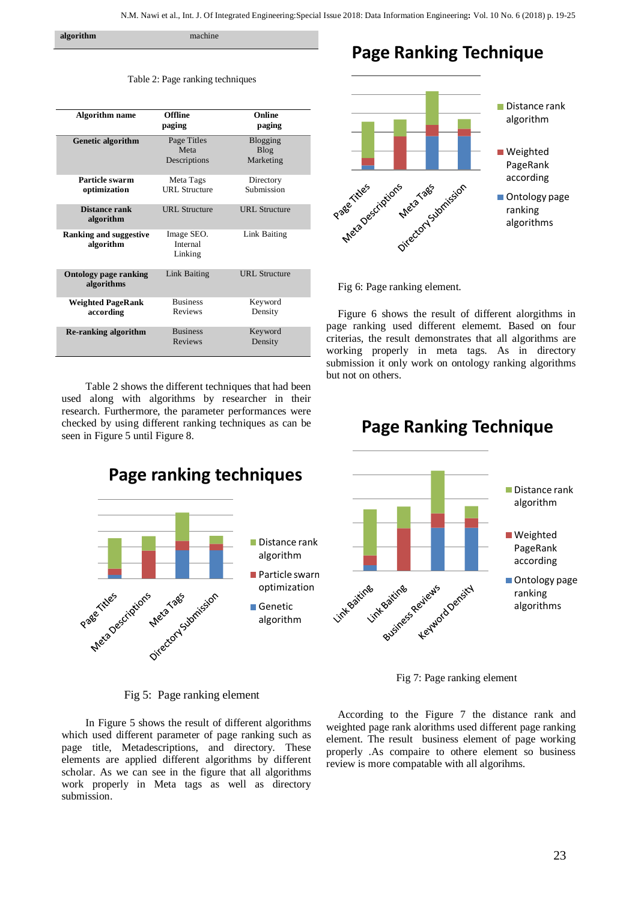**algorithm** machine

| <b>Algorithm name</b>                      | <b>Offline</b><br>paging            | Online<br>paging              |
|--------------------------------------------|-------------------------------------|-------------------------------|
| <b>Genetic algorithm</b>                   | Page Titles<br>Meta<br>Descriptions | Blogging<br>Blog<br>Marketing |
| Particle swarm<br>optimization             | Meta Tags<br><b>URL</b> Structure   | Directory<br>Submission       |
| Distance rank<br>algorithm                 | <b>URL</b> Structure                | <b>URL</b> Structure          |
| <b>Ranking and suggestive</b><br>algorithm | Image SEO.<br>Internal<br>Linking   | Link Baiting                  |
| <b>Ontology page ranking</b><br>algorithms | Link Baiting                        | <b>URL</b> Structure          |
| <b>Weighted PageRank</b><br>according      | <b>Business</b><br><b>Reviews</b>   | Keyword<br>Density            |
| <b>Re-ranking algorithm</b>                | <b>Business</b><br><b>Reviews</b>   | Keyword<br>Density            |

Table 2: Page ranking techniques

Table 2 shows the different techniques that had been used along with algorithms by researcher in their research. Furthermore, the parameter performances were checked by using different ranking techniques as can be seen in Figure 5 until Figure 8.



**Page Ranking Technique** 



Fig 6: Page ranking element.

Figure 6 shows the result of different alorgithms in page ranking used different elememt. Based on four criterias, the result demonstrates that all algorithms are working properly in meta tags. As in directory submission it only work on ontology ranking algorithms but not on others.



# **Page Ranking Technique**



Fig 7: Page ranking element

#### Fig 5: Page ranking element

In Figure 5 shows the result of different algorithms which used different parameter of page ranking such as page title, Metadescriptions, and directory. These elements are applied different algorithms by different scholar. As we can see in the figure that all algorithms work properly in Meta tags as well as directory submission.

According to the Figure 7 the distance rank and weighted page rank alorithms used different page ranking element. The result business element of page working properly .As compaire to othere element so business review is more compatable with all algorihms.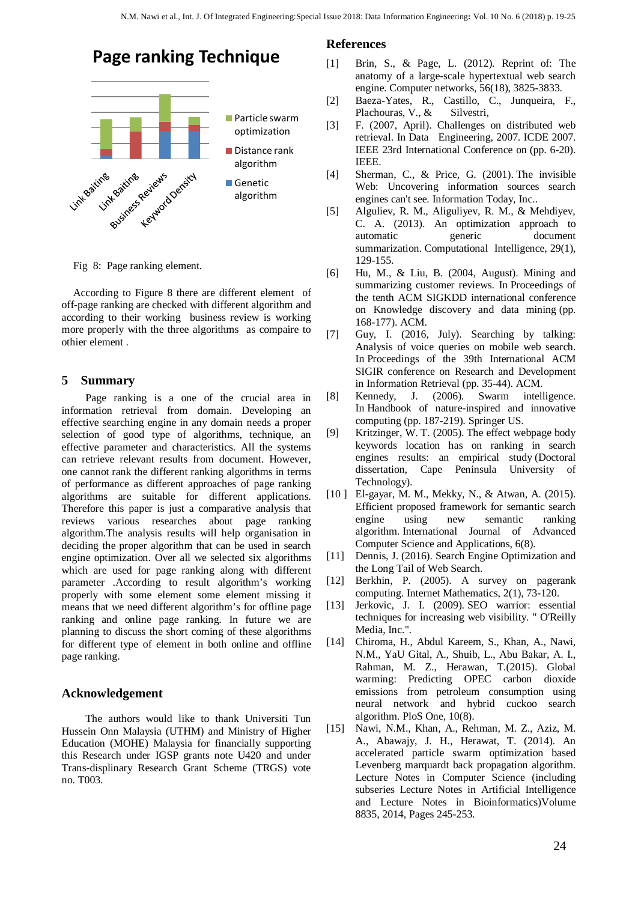# **Page ranking Technique**



Fig 8: Page ranking element.

According to Figure 8 there are different element of off-page ranking are checked with different algorithm and according to their working business review is working more properly with the three algorithms as compaire to othier element .

## **5 Summary**

Page ranking is a one of the crucial area in information retrieval from domain. Developing an effective searching engine in any domain needs a proper selection of good type of algorithms, technique, an effective parameter and characteristics. All the systems can retrieve relevant results from document. However, one cannot rank the different ranking algorithms in terms of performance as different approaches of page ranking algorithms are suitable for different applications. Therefore this paper is just a comparative analysis that reviews various researches about page ranking algorithm.The analysis results will help organisation in deciding the proper algorithm that can be used in search engine optimization. Over all we selected six algorithms which are used for page ranking along with different parameter .According to result algorithm's working properly with some element some element missing it means that we need different algorithm's for offline page ranking and online page ranking. In future we are planning to discuss the short coming of these algorithms for different type of element in both online and offline page ranking.

### **Acknowledgement**

The authors would like to thank Universiti Tun Hussein Onn Malaysia (UTHM) and Ministry of Higher Education (MOHE) Malaysia for financially supporting this Research under IGSP grants note U420 and under Trans-displinary Research Grant Scheme (TRGS) vote no. T003.

### **References**

- [1] Brin, S., & Page, L. (2012). Reprint of: The anatomy of a large-scale hypertextual web search engine. Computer networks, 56(18), 3825-3833.
- [2] Baeza-Yates, R., Castillo, C., Junqueira, F., Plachouras, V., & Silvestri,
- [3] F. (2007, April). Challenges on distributed web retrieval. In Data Engineering, 2007. ICDE 2007. IEEE 23rd International Conference on (pp. 6-20). IEEE.
- [4] Sherman, C., & Price, G. (2001). The invisible Web: Uncovering information sources search engines can't see. Information Today, Inc..
- [5] Alguliev, R. M., Aliguliyev, R. M., & Mehdiyev, C. A. (2013). An optimization approach to automatic generic document summarization. Computational Intelligence, 29(1), 129-155.
- [6] Hu, M., & Liu, B. (2004, August). Mining and summarizing customer reviews. In Proceedings of the tenth ACM SIGKDD international conference on Knowledge discovery and data mining (pp. 168-177). ACM.
- [7] Guy, I. (2016, July). Searching by talking: Analysis of voice queries on mobile web search. In Proceedings of the 39th International ACM SIGIR conference on Research and Development in Information Retrieval (pp. 35-44). ACM.
- [8] Kennedy, J. (2006). Swarm intelligence. In Handbook of nature-inspired and innovative computing (pp. 187-219). Springer US.
- [9] Kritzinger, W. T. (2005). The effect webpage body keywords location has on ranking in search engines results: an empirical study (Doctoral dissertation, Cape Peninsula University of Technology).
- [10] El-gayar, M. M., Mekky, N., & Atwan, A. (2015). Efficient proposed framework for semantic search engine using new semantic ranking algorithm. International Journal of Advanced Computer Science and Applications, 6(8).
- [11] Dennis, J. (2016). Search Engine Optimization and the Long Tail of Web Search.
- [12] Berkhin, P. (2005). A survey on pagerank computing. Internet Mathematics, 2(1), 73-120.
- [13] Jerkovic, J. I. (2009). SEO warrior: essential techniques for increasing web visibility. " O'Reilly Media, Inc.".
- [14] Chiroma, H., Abdul Kareem, S., Khan, A., Nawi, N.M., YaU Gital, A., Shuib, L., Abu Bakar, A. I., Rahman, M. Z., Herawan, T.(2015). Global warming: Predicting OPEC carbon dioxide emissions from petroleum consumption using neural network and hybrid cuckoo search algorithm. PloS One, 10(8).
- [15] Nawi, N.M., Khan, A., Rehman, M. Z., Aziz, M. A., Abawajy, J. H., Herawat, T. (2014). An accelerated particle swarm optimization based Levenberg marquardt back propagation algorithm. Lecture Notes in Computer Science [\(including](https://www.scopus.com/sourceid/25674?origin=recordpage) subseries Lecture Notes in Artificial [Intelligence](https://www.scopus.com/sourceid/25674?origin=recordpage) and Lecture Notes in [Bioinformatics\)V](https://www.scopus.com/sourceid/25674?origin=recordpage)olume 8835, 2014, Pages 245-253.